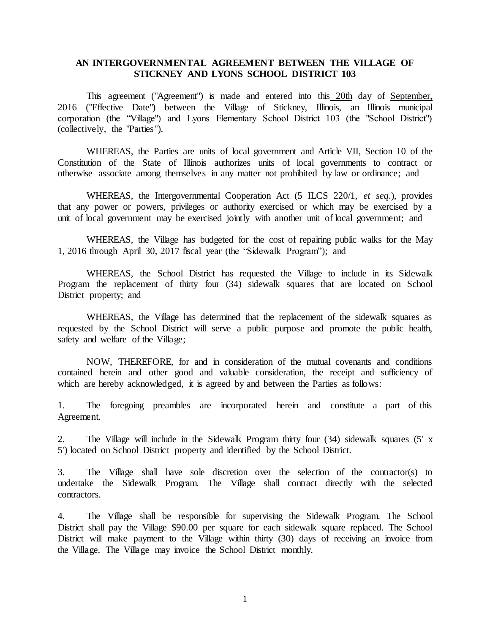## **AN INTERGOVERNMENTAL AGREEMENT BETWEEN THE VILLAGE OF STICKNEY AND LYONS SCHOOL DISTRICT 103**

This agreement ("Agreement") is made and entered into this 20th day of September, 2016 ("Effective Date") between the Village of Stickney, Illinois, an Illinois municipal corporation (the "Village") and Lyons Elementary School District 103 (the "School District") (collectively, the "Parties").

WHEREAS, the Parties are units of local government and Article VII, Section 10 of the Constitution of the State of Illinois authorizes units of local governments to contract or otherwise associate among themselves in any matter not prohibited by law or ordinance; and

WHEREAS, the Intergovernmental Cooperation Act (5 ILCS 220/1, *et seq*.), provides that any power or powers, privileges or authority exercised or which may be exercised by a unit of local government may be exercised jointly with another unit of local government; and

WHEREAS, the Village has budgeted for the cost of repairing public walks for the May 1, 2016 through April 30, 2017 fiscal year (the "Sidewalk Program"); and

WHEREAS, the School District has requested the Village to include in its Sidewalk Program the replacement of thirty four (34) sidewalk squares that are located on School District property; and

WHEREAS, the Village has determined that the replacement of the sidewalk squares as requested by the School District will serve a public purpose and promote the public health, safety and welfare of the Village;

NOW, THEREFORE, for and in consideration of the mutual covenants and conditions contained herein and other good and valuable consideration, the receipt and sufficiency of which are hereby acknowledged, it is agreed by and between the Parties as follows:

1. The foregoing preambles are incorporated herein and constitute a part of this Agreement.

2. The Village will include in the Sidewalk Program thirty four (34) sidewalk squares (5' x 5') located on School District property and identified by the School District.

3. The Village shall have sole discretion over the selection of the contractor(s) to undertake the Sidewalk Program. The Village shall contract directly with the selected contractors.

4. The Village shall be responsible for supervising the Sidewalk Program. The School District shall pay the Village \$90.00 per square for each sidewalk square replaced. The School District will make payment to the Village within thirty (30) days of receiving an invoice from the Village. The Village may invoice the School District monthly.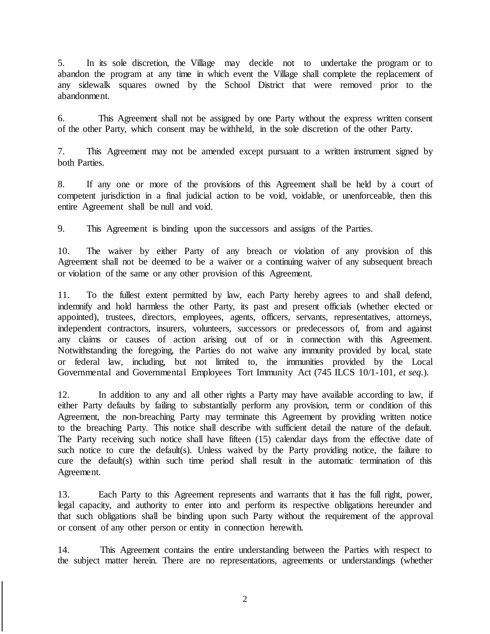5. In its sole discretion, the Village may decide not to undertake the program or to abandon the program at any time in which event the Village shall complete the replacement of any sidewalk squares owned by the School District that were removed prior to the abandonment.

6. This Agreement shall not be assigned by one Party without the express written consent of the other Party, which consent may be withheld, in the sole discretion of the other Party.

7. This Agreement may not be amended except pursuant to a written instrument signed by both Parties.

8. If any one or more of the provisions of this Agreement shall be held by a court of competent jurisdiction in a final judicial action to be void, voidable, or unenforceable, then this entire Agreement shall be null and void.

9. This Agreement is binding upon the successors and assigns of the Parties.

10. The waiver by either Party of any breach or violation of any provision of this Agreement shall not be deemed to be a waiver or a continuing waiver of any subsequent breach or violation of the same or any other provision of this Agreement.

11. To the fullest extent permitted by law, each Party hereby agrees to and shall defend, indemnify and hold harmless the other Party, its past and present officials (whether elected or appointed), trustees, directors, employees, agents, officers, servants, representatives, attorneys, independent contractors, insurers, volunteers, successors or predecessors of, from and against any claims or causes of action arising out of or in connection with this Agreement. Notwithstanding the foregoing, the Parties do not waive any immunity provided by local, state or federal law, including, but not limited to, the immunities provided by the Local Governmental and Governmental Employees Tort Immunity Act (745 ILCS 10/1-101, *et seq.*).

12. In addition to any and all other rights a Party may have available according to law, if either Party defaults by failing to substantially perform any provision, term or condition of this Agreement, the non-breaching Party may terminate this Agreement by providing written notice to the breaching Party. This notice shall describe with sufficient detail the nature of the default. The Party receiving such notice shall have fifteen (15) calendar days from the effective date of such notice to cure the default(s). Unless waived by the Party providing notice, the failure to cure the default(s) within such time period shall result in the automatic termination of this Agreement.

13. Each Party to this Agreement represents and warrants that it has the full right, power, legal capacity, and authority to enter into and perform its respective obligations hereunder and that such obligations shall be binding upon such Party without the requirement of the approval or consent of any other person or entity in connection herewith.

14. This Agreement contains the entire understanding between the Parties with respect to the subject matter herein. There are no representations, agreements or understandings (whether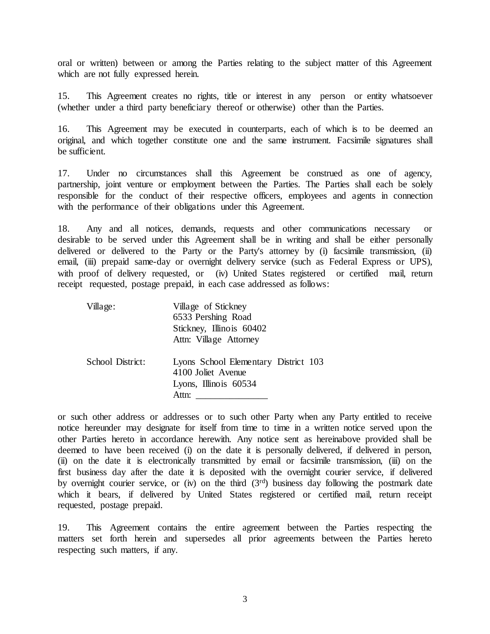oral or written) between or among the Parties relating to the subject matter of this Agreement which are not fully expressed herein.

15. This Agreement creates no rights, title or interest in any person or entity whatsoever (whether under a third party beneficiary thereof or otherwise) other than the Parties.

16. This Agreement may be executed in counterparts, each of which is to be deemed an original, and which together constitute one and the same instrument. Facsimile signatures shall be sufficient.

17. Under no circumstances shall this Agreement be construed as one of agency, partnership, joint venture or employment between the Parties. The Parties shall each be solely responsible for the conduct of their respective officers, employees and agents in connection with the performance of their obligations under this Agreement.

18. Any and all notices, demands, requests and other communications necessary or desirable to be served under this Agreement shall be in writing and shall be either personally delivered or delivered to the Party or the Party's attorney by (i) facsimile transmission, (ii) email, (iii) prepaid same-day or overnight delivery service (such as Federal Express or UPS), with proof of delivery requested, or (iv) United States registered or certified mail, return receipt requested, postage prepaid, in each case addressed as follows:

| Village:         | Village of Stickney<br>6533 Pershing Road<br>Stickney, Illinois 60402<br>Attn: Village Attorney |
|------------------|-------------------------------------------------------------------------------------------------|
| School District: | Lyons School Elementary District 103<br>4100 Joliet Avenue<br>Lyons, Illinois 60534<br>Attn:    |

or such other address or addresses or to such other Party when any Party entitled to receive notice hereunder may designate for itself from time to time in a written notice served upon the other Parties hereto in accordance herewith. Any notice sent as hereinabove provided shall be deemed to have been received (i) on the date it is personally delivered, if delivered in person, (ii) on the date it is electronically transmitted by email or facsimile transmission, (iii) on the first business day after the date it is deposited with the overnight courier service, if delivered by overnight courier service, or (iv) on the third  $(3<sup>rd</sup>)$  business day following the postmark date which it bears, if delivered by United States registered or certified mail, return receipt requested, postage prepaid.

19. This Agreement contains the entire agreement between the Parties respecting the matters set forth herein and supersedes all prior agreements between the Parties hereto respecting such matters, if any.